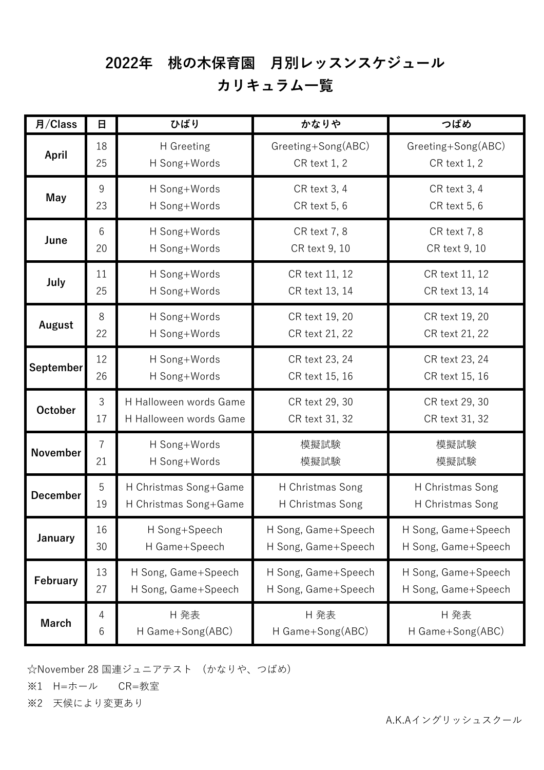## 2022年 桃の木保育園 月別レッスンスケジュール

## カリキュラム一覧

| 月/Class         | 日              | ひばり                                                                  | かなりや                                                 | つばめ                                  |
|-----------------|----------------|----------------------------------------------------------------------|------------------------------------------------------|--------------------------------------|
| April           | 18             | H Greeting                                                           | Greeting+Song(ABC)                                   | Greeting+Song(ABC)                   |
|                 | 25             | H Song+Words                                                         | <b>CR</b> text 1, 2                                  | <b>CR</b> text 1, 2                  |
| <b>May</b>      | 9<br>23        | H Song+Words<br>CR text 3, 4<br>CR text 5, 6<br>H Song+Words         |                                                      | CR text 3, 4<br>CR text 5, 6         |
| June            | 6<br>20        | H Song+Words<br><b>CR</b> text 7, 8<br>CR text 9, 10<br>H Song+Words |                                                      | <b>CR</b> text 7, 8<br>CR text 9, 10 |
| July            | 11<br>25       | H Song+Words<br>CR text 11, 12<br>H Song+Words<br>CR text 13, 14     |                                                      | CR text 11, 12<br>CR text 13, 14     |
| August          | 8              | H Song+Words                                                         | CR text 19, 20                                       | CR text 19, 20                       |
|                 | 22             | H Song+Words                                                         | CR text 21, 22                                       | CR text 21, 22                       |
| September       | 12             | H Song+Words                                                         | CR text 23, 24                                       | CR text 23, 24                       |
|                 | 26             | H Song+Words                                                         | CR text 15, 16                                       | CR text 15, 16                       |
| <b>October</b>  | 3              | H Halloween words Game                                               | CR text 29, 30                                       | CR text 29, 30                       |
|                 | 17             | H Halloween words Game                                               | CR text 31, 32                                       | CR text 31, 32                       |
| <b>November</b> | $\overline{7}$ | H Song+Words                                                         | 模擬試験                                                 | 模擬試験                                 |
|                 | 21             | H Song+Words                                                         | 模擬試験                                                 | 模擬試験                                 |
| <b>December</b> | 5              | H Christmas Song+Game                                                | H Christmas Song                                     | H Christmas Song                     |
|                 | 19             | H Christmas Song+Game                                                | H Christmas Song                                     | H Christmas Song                     |
| January         | 16             | H Song+Speech                                                        | H Song, Game+Speech                                  | H Song, Game+Speech                  |
|                 | 30             | H Game+Speech                                                        | H Song, Game+Speech                                  | H Song, Game+Speech                  |
| February        | 13             | H Song, Game+Speech                                                  | H Song, Game+Speech                                  | H Song, Game+Speech                  |
|                 | 27             | H Song, Game+Speech                                                  | H Song, Game+Speech                                  | H Song, Game+Speech                  |
| <b>March</b>    | 4<br>$6\,$     | H 発表<br>H Game+Song(ABC)                                             | H 発表<br>H 発表<br>H Game+Song(ABC)<br>H Game+Song(ABC) |                                      |

☆November 28 国連ジュニアテスト (かなりや、つばめ)

※1 H=ホール CR=教室

※2 天候により変更あり